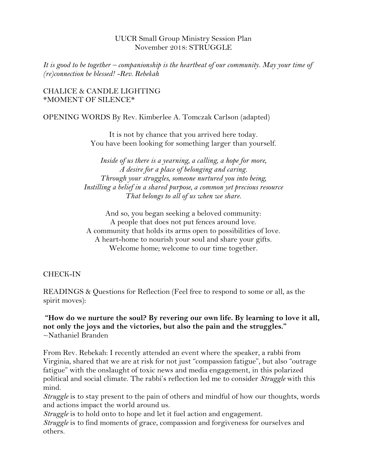#### UUCR Small Group Ministry Session Plan November 2018: STRUGGLE

*It is good to be together – companionship is the heartbeat of our community. May your time of (re)connection be blessed! -Rev. Rebekah*

#### CHALICE & CANDLE LIGHTING \*MOMENT OF SILENCE\*

OPENING WORDS By Rev. Kimberlee A. Tomczak Carlson (adapted)

It is not by chance that you arrived here today. You have been looking for something larger than yourself.

*Inside of us there is a yearning, a calling, a hope for more, A desire for a place of belonging and caring. Through your struggles, someone nurtured you into being, Instilling a belief in a shared purpose, a common yet precious resource That belongs to all of us when we share.*

And so, you began seeking a beloved community: A people that does not put fences around love. A community that holds its arms open to possibilities of love. A heart-home to nourish your soul and share your gifts. Welcome home; welcome to our time together.

CHECK-IN

READINGS & Questions for Reflection (Feel free to respond to some or all, as the spirit moves):

**"How do we nurture the soul? By revering our own life. By learning to love it all, not only the joys and the victories, but also the pain and the struggles."** ~Nathaniel Branden

From Rev. Rebekah: I recently attended an event where the speaker, a rabbi from Virginia, shared that we are at risk for not just "compassion fatigue", but also "outrage fatigue" with the onslaught of toxic news and media engagement, in this polarized political and social climate. The rabbi's reflection led me to consider *Struggle* with this mind.

*Struggle* is to stay present to the pain of others and mindful of how our thoughts, words and actions impact the world around us.

*Struggle* is to hold onto to hope and let it fuel action and engagement.

*Struggle* is to find moments of grace, compassion and forgiveness for ourselves and others.